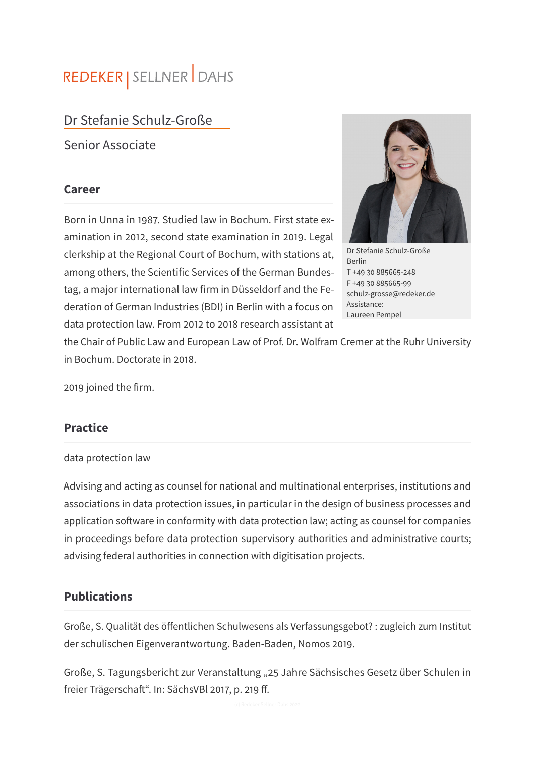# REDEKER | SELLNER DAHS

# Dr Stefanie Schulz-Große

Senior Associate

#### **Career**

Born in Unna in 1987. Studied law in Bochum. First state examination in 2012, second state examination in 2019. Legal clerkship at the Regional Court of Bochum, with stations at, among others, the Scientific Services of the German Bundestag, a major international law firm in Düsseldorf and the Federation of German Industries (BDI) in Berlin with a focus on data protection law. From 2012 to 2018 research assistant at



Dr Stefanie Schulz-Große Berlin T +49 30 885665-248 F +49 30 885665-99 schulz-grosse@redeker.de Assistance: Laureen Pempel

the Chair of Public Law and European Law of Prof. Dr. Wolfram Cremer at the Ruhr University in Bochum. Doctorate in 2018.

2019 joined the firm.

### **Practice**

#### data protection law

Advising and acting as counsel for national and multinational enterprises, institutions and associations in data protection issues, in particular in the design of business processes and application software in conformity with data protection law; acting as counsel for companies in proceedings before data protection supervisory authorities and administrative courts; advising federal authorities in connection with digitisation projects.

#### **Publications**

Große, S. Qualität des öffentlichen Schulwesens als Verfassungsgebot? : zugleich zum Institut der schulischen Eigenverantwortung. Baden-Baden, Nomos 2019.

Große, S. Tagungsbericht zur Veranstaltung "25 Jahre Sächsisches Gesetz über Schulen in freier Trägerschaft". In: SächsVBl 2017, p. 219 ff.